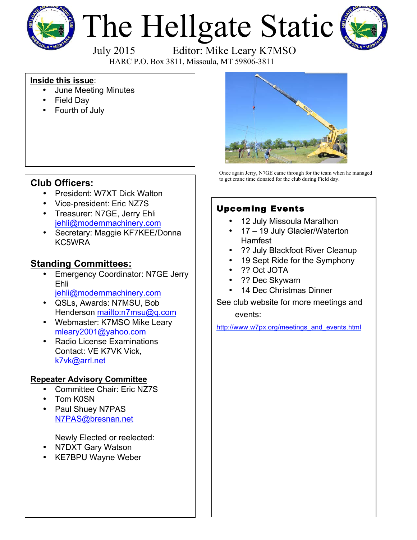

# The Hellgate Static



July 2015 Editor: Mike Leary K7MSO

HARC P.O. Box 3811, Missoula, MT 59806-3811

#### **Inside this issue**:

- June Meeting Minutes
- Field Day
- Fourth of July



- President: W7XT Dick Walton
- Vice-president: Eric NZ7S
- Treasurer: N7GE, Jerry Ehli jehli@modernmachinery.com
- Secretary: Maggie KF7KEE/Donna KC5WRA

#### **Standing Committees:**

- **Emergency Coordinator: N7GE Jerry** Ehli
	- jehli@modernmachinery.com
- QSLs, Awards: N7MSU, Bob Henderson mailto:n7msu@q.com
- Webmaster: K7MSO Mike Leary mleary2001@yahoo.com
- Radio License Examinations Contact: VE K7VK Vick, k7vk@arrl.net

#### **Repeater Advisory Committee**

- Committee Chair: Eric NZ7S
- Tom K0SN
- Paul Shuey N7PAS N7PAS@bresnan.net

Newly Elected or reelected:

- N7DXT Gary Watson
- KE7BPU Wayne Weber



Once again Jerry, N7GE came through for the team when he managed to get crane time donated for the club during Field day.

#### Upcoming Events

- 12 July Missoula Marathon
- 17 19 July Glacier/Waterton **Hamfest**
- ?? July Blackfoot River Cleanup
- 19 Sept Ride for the Symphony
- ?? Oct JOTA
- ?? Dec Skywarn
- 14 Dec Christmas Dinner

See club website for more meetings and

events:

http://www.w7px.org/meetings\_and\_events.html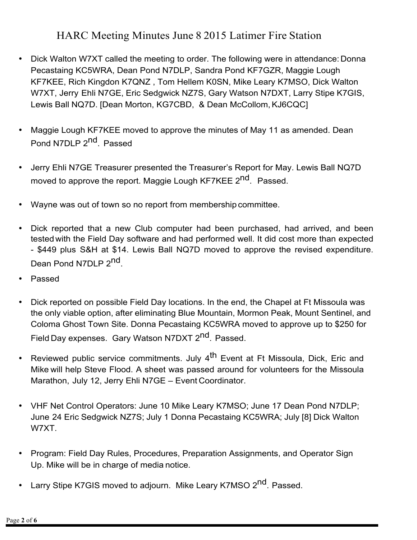### HARC Meeting Minutes June 8 2015 Latimer Fire Station

- Dick Walton W7XT called the meeting to order. The following were in attendance: Donna Pecastaing KC5WRA, Dean Pond N7DLP, Sandra Pond KF7GZR, Maggie Lough KF7KEE, Rich Kingdon K7QNZ , Tom Hellem K0SN, Mike Leary K7MSO, Dick Walton W7XT, Jerry Ehli N7GE, Eric Sedgwick NZ7S, Gary Watson N7DXT, Larry Stipe K7GIS, Lewis Ball NQ7D. [Dean Morton, KG7CBD, & Dean McCollom,KJ6CQC]
- Maggie Lough KF7KEE moved to approve the minutes of May 11 as amended. Dean Pond N7DLP 2<sup>nd</sup>. Passed
- Jerry Ehli N7GE Treasurer presented the Treasurer's Report for May. Lewis Ball NQ7D moved to approve the report. Maggie Lough KF7KEE 2<sup>nd</sup>. Passed.
- Wayne was out of town so no report from membership committee.
- Dick reported that a new Club computer had been purchased, had arrived, and been tested with the Field Day software and had performed well. It did cost more than expected - \$449 plus S&H at \$14. Lewis Ball NQ7D moved to approve the revised expenditure. Dean Pond N7DLP 2<sup>nd</sup>.
- Passed
- Dick reported on possible Field Day locations. In the end, the Chapel at Ft Missoula was the only viable option, after eliminating Blue Mountain, Mormon Peak, Mount Sentinel, and Coloma Ghost Town Site. Donna Pecastaing KC5WRA moved to approve up to \$250 for Field Day expenses. Gary Watson N7DXT 2<sup>nd</sup>, Passed.
- Reviewed public service commitments. July 4<sup>th</sup> Event at Ft Missoula, Dick, Eric and Mike will help Steve Flood. A sheet was passed around for volunteers for the Missoula Marathon, July 12, Jerry Ehli N7GE – Event Coordinator.
- VHF Net Control Operators: June 10 Mike Leary K7MSO; June 17 Dean Pond N7DLP; June 24 Eric Sedgwick NZ7S; July 1 Donna Pecastaing KC5WRA; July [8] Dick Walton W7XT.
- Program: Field Day Rules, Procedures, Preparation Assignments, and Operator Sign Up. Mike will be in charge of media notice.
- Larry Stipe K7GIS moved to adjourn. Mike Leary K7MSO 2<sup>nd</sup>. Passed.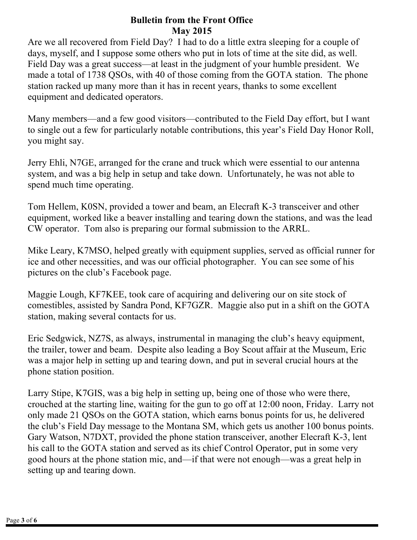#### **Bulletin from the Front Office May 2015**

Are we all recovered from Field Day? I had to do a little extra sleeping for a couple of days, myself, and I suppose some others who put in lots of time at the site did, as well. Field Day was a great success—at least in the judgment of your humble president. We made a total of 1738 QSOs, with 40 of those coming from the GOTA station. The phone station racked up many more than it has in recent years, thanks to some excellent equipment and dedicated operators.

Many members—and a few good visitors—contributed to the Field Day effort, but I want to single out a few for particularly notable contributions, this year's Field Day Honor Roll, you might say.

Jerry Ehli, N7GE, arranged for the crane and truck which were essential to our antenna system, and was a big help in setup and take down. Unfortunately, he was not able to spend much time operating.

Tom Hellem, K0SN, provided a tower and beam, an Elecraft K-3 transceiver and other equipment, worked like a beaver installing and tearing down the stations, and was the lead CW operator. Tom also is preparing our formal submission to the ARRL.

Mike Leary, K7MSO, helped greatly with equipment supplies, served as official runner for ice and other necessities, and was our official photographer. You can see some of his pictures on the club's Facebook page.

Maggie Lough, KF7KEE, took care of acquiring and delivering our on site stock of comestibles, assisted by Sandra Pond, KF7GZR. Maggie also put in a shift on the GOTA station, making several contacts for us.

Eric Sedgwick, NZ7S, as always, instrumental in managing the club's heavy equipment, the trailer, tower and beam. Despite also leading a Boy Scout affair at the Museum, Eric was a major help in setting up and tearing down, and put in several crucial hours at the phone station position.

Larry Stipe, K7GIS, was a big help in setting up, being one of those who were there, crouched at the starting line, waiting for the gun to go off at 12:00 noon, Friday. Larry not only made 21 QSOs on the GOTA station, which earns bonus points for us, he delivered the club's Field Day message to the Montana SM, which gets us another 100 bonus points. Gary Watson, N7DXT, provided the phone station transceiver, another Elecraft K-3, lent his call to the GOTA station and served as its chief Control Operator, put in some very good hours at the phone station mic, and—if that were not enough—was a great help in setting up and tearing down.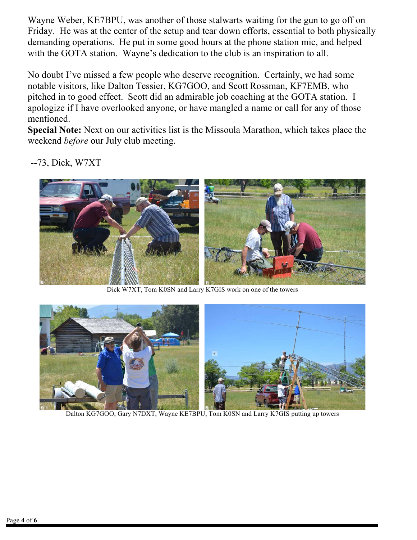Wayne Weber, KE7BPU, was another of those stalwarts waiting for the gun to go off on Friday. He was at the center of the setup and tear down efforts, essential to both physically demanding operations. He put in some good hours at the phone station mic, and helped with the GOTA station. Wayne's dedication to the club is an inspiration to all.

No doubt I've missed a few people who deserve recognition. Certainly, we had some notable visitors, like Dalton Tessier, KG7GOO, and Scott Rossman, KF7EMB, who pitched in to good effect. Scott did an admirable job coaching at the GOTA station. I apologize if I have overlooked anyone, or have mangled a name or call for any of those mentioned.

**Special Note:** Next on our activities list is the Missoula Marathon, which takes place the weekend *before* our July club meeting.

--73, Dick, W7XT



Dick W7XT, Tom K0SN and Larry K7GIS work on one of the towers



Dalton KG7GOO, Gary N7DXT, Wayne KE7BPU, Tom K0SN and Larry K7GIS putting up towers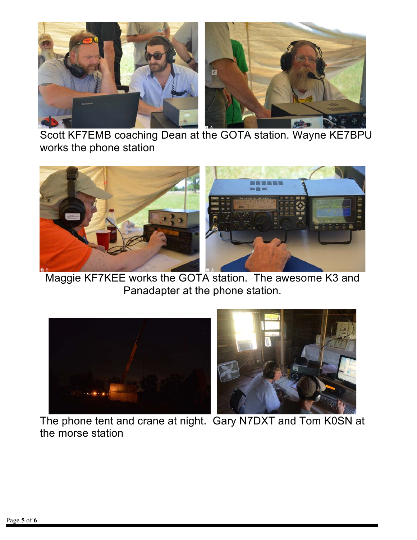

Scott KF7EMB coaching Dean at the GOTA station. Wayne KE7BPU works the phone station



Maggie KF7KEE works the GOTA station. The awesome K3 and Panadapter at the phone station.



The phone tent and crane at night. Gary N7DXT and Tom K0SN at the morse station